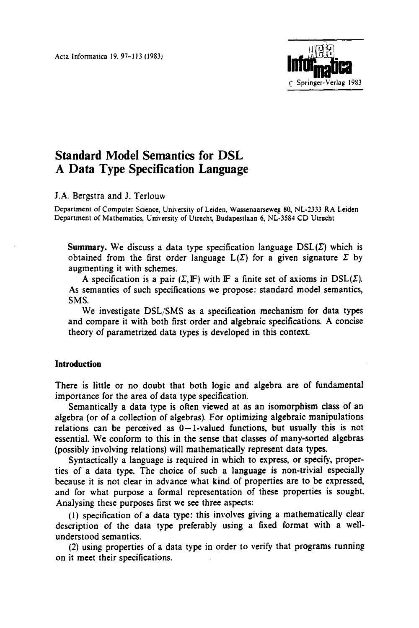Acta lnformatica 19. 97-113 (1983}



# **Standard Model Semantics for DSL A Data Type Specification Language**

### **J.A.** Bergstra and J. Terlouw

Department of Computer Science, University of Leiden, Wassenaarseweg 80, NL-2333 RA Leiden Department of Mathematics, University of Utrecht, Budapestlaan 6, NL-3584 CD Utrecht

Summary. We discuss a data type specification language  $\mathrm{DSL}(\Sigma)$  which is obtained from the first order language  $L(\Sigma)$  for a given signature  $\Sigma$  by augmenting it with schemes.

A specification is a pair  $(\Sigma, \mathbb{F})$  with  $\mathbb{F}$  a finite set of axioms in  $\mathrm{DSL}(\Sigma)$ . As semantics of such specifications we propose: standard model semantics, SMS.

We investigate DSL/SMS as a specification mechanism for data types and compare it with both first order and algebraic specifications. A concise theory of parametrized data types is developed in this context.

# **Introduction**

There is little or no doubt that both logic and algebra are of fundamental importance for the area of data type specification.

Semantically a data type is often viewed at as an isomorphism class of an algebra (or of a collection of algebras). For optimizing algebraic manipulations relations can be perceived as  $0-1$ -valued functions, but usually this is not essential. We conform to this in the sense that classes of many-sorted algebras (possibly involving relations) will mathematically represent data types.

Syntactically a language is required in which to express, or specify, properties of a data type. The choice of such a language is non-trivial especially because it is not clear in advance what kind of properties are to be expressed, and for what purpose a formal representation of these properties is sought. Analysing these purposes first we see three aspects:

(1) specification of a data type: this involves giving a mathematically clear description of the data type preferably using a fixed format with a wellunderstood semantics.

(2) using properties of a data type in order to verify that programs running on it meet their specifications.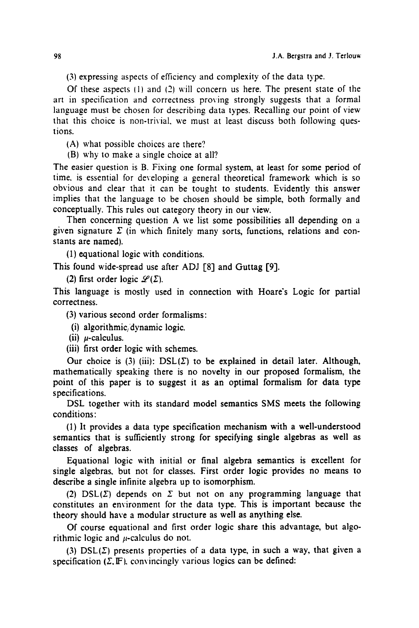(3) expressing aspects of efficiency and complexity of the data type.

Of these aspects  $(1)$  and  $(2)$  will concern us here. The present state of the art in specification and correctness proving strongly suggests that a formal language must be chosen for describing data types. Recalling our point of view that this choice is non-trivial, we must at least discuss both following questions.

(A) what possible choices are there?

(B) why to make a single choice at all?

The easier question is B. Fixing one formal system, at least for some period of time. is essential for developing a general theoretical framework which is so obvious and clear that it can be tought to students. Evidently this answer implies that the language to be chosen should be simple, both formally and conceptually. This rules out category theory in our view.

Then concerning question A we list some possibilities all depending on a given signature  $\Sigma$  (in which finitely many sorts, functions, relations and constants are named).

(1) equational logic with conditions.

This found wide-spread use after ADJ [8] and Guttag [9].

(2) first order logic  $\mathscr{L}(\Sigma)$ .

This language is mostly used in connection with Hoare's Logic for partial correctness.

(3) various second order formalisms:

(i) algorithmic, dynamic logic.

(ii)  $\mu$ -calculus.

(iii) first order logic with schemes.

Our choice is (3) (iii):  $DSL(\Sigma)$  to be explained in detail later. Although, mathematically speaking there is no novelty in our proposed formalism, the point of this paper is to suggest it as an optimal formalism for data type specifications.

DSL together with its standard model semantics SMS meets the following conditions:

(1) It provides a data type specification mechanism with a well-understood semantics that is sufficiently strong for specifying single algebras as well as classes of algebras.

Equational logic with initial or final algebra semantics is excellent for single algebras, but not for classes. First order logic provides no means to describe a single infinite algebra up to isomorphism.

(2)  $DSL(\Sigma)$  depends on  $\Sigma$  but not on any programming language that constitutes an environment for the data type. This is important because the theory should have a modular structure as well as anything else.

Of course equational and first order logic share this advantage, but algorithmic logic and  $\mu$ -calculus do not.

(3)  $DSL(\Sigma)$  presents properties of a data type, in such a way, that given a specification ( $\Sigma$ ,  $\mathbb{F}$ ), convincingly various logics can be defined: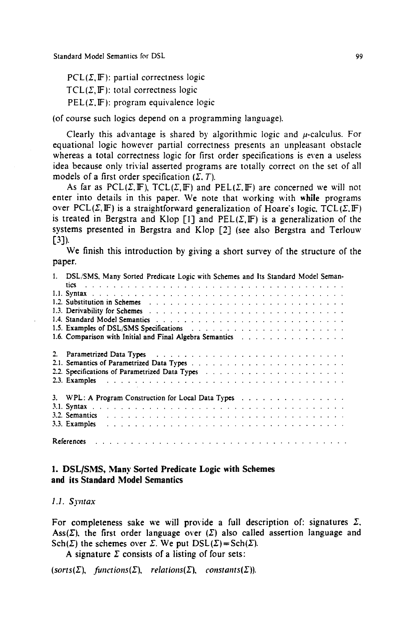$PCL(\Sigma, \mathbb{F})$ : partial correctness logic

 $TCL(\Sigma, \mathbb{F})$ : total correctness logic

 $PEL(\Sigma, \mathbb{F})$ : program equivalence logic

(of course such logics depend on a programming language).

Clearly this advantage is shared by algorithmic logic and  $\mu$ -calculus. For equational logic however partial correctness presents an unpleasant obstacle whereas a total correctness logic for first order specifications is even a useless idea because only trivial asserted programs are totally correct on the set of all models of a first order specification  $(\Sigma, T)$ .

As far as PCL( $\Sigma$ , IF), TCL( $\Sigma$ , IF) and PEL( $\Sigma$ , IF) are concerned we will not enter into details in this paper. We note that working with while programs over PCL( $\Sigma$ , IF) is a straightforward generalization of Hoare's logic. TCL( $\Sigma$ , IF) is treated in Bergstra and Klop [1] and  $PEL(\Sigma, \mathbb{F})$  is a generalization of the systems presented in Bergstra and Klop [2] (see also Bergstra and Terlouw  $[3]$ .

We finish this introduction by giving a short survey of the structure of the paper.

| 1. DSL/SMS, Many Sorted Predicate Logic with Schemes and Its Standard Model Seman-                                                                                                                                             |
|--------------------------------------------------------------------------------------------------------------------------------------------------------------------------------------------------------------------------------|
|                                                                                                                                                                                                                                |
|                                                                                                                                                                                                                                |
| 1.2. Substitution in Schemes (e.g., e.g., e.g., e.g., e.g., e.g., e.g., e.g., e.g., e.g., e.g., e.g., e.g., e.g., e.g., e.g., e.g., e.g., e.g., e.g., e.g., e.g., e.g., e.g., e.g., e.g., e.g., e.g., e.g., e.g., e.g., e.g.,  |
| 1.3. Derivability for Schemes et al., and a series of a series of the series of the series of the series of the series of the series of the series of the series of the series of the series of the series of the series of th |
|                                                                                                                                                                                                                                |
| 1.5. Examples of DSL/SMS Specifications and a subset of the set of the state of the SPSL/SMS Specifications and a subset of the state of the state of the state of the state of the state of the state of the state of the sta |
| 1.6. Comparison with Initial and Final Algebra Semantics Fig.                                                                                                                                                                  |
| 2. Parametrized Data Types (a) and a contract of the contract of the contract of the contract of the contract of the contract of the contract of the contract of the contract of the contract of the contract of the contract  |
|                                                                                                                                                                                                                                |
| 2.2. Specifications of Parametrized Data Types (a) and a subset of the set of the set of the set of the set of the set of the set of the set of the set of the set of the set of the set of the set of the set of the set of t |
|                                                                                                                                                                                                                                |
| 3. WPL: A Program Construction for Local Data Types                                                                                                                                                                            |
|                                                                                                                                                                                                                                |
| 3.2. Semantics and all the contract of the contract of the contract of the contract of the contract of the contract of the contract of the contract of the contract of the contract of the contract of the contract of the con |
|                                                                                                                                                                                                                                |
| <b>References</b> ( <i>i.e., i.e., i.e., i.e., i.e., i.e., i.e., i.e., i.e., i.e., i.e., i.e.</i> ,                                                                                                                            |

## **1. DSL/SMS, Many Sorted Predicate Logic with Schemes and its Standard Model Semantics**

*I.I. Syntax* 

For completeness sake we will provide a full description of: signatures  $\Sigma$ , Ass( $\Sigma$ ), the first order language over ( $\Sigma$ ) also called assertion language and Sch( $\Sigma$ ) the schemes over  $\Sigma$ . We put  $DSL(\Sigma) = Sch(\Sigma)$ .

A signature  $\Sigma$  consists of a listing of four sets:

 $(sorts(\Sigma),$  functions( $\Sigma$ ), relations( $\Sigma$ ), constants( $\Sigma$ )).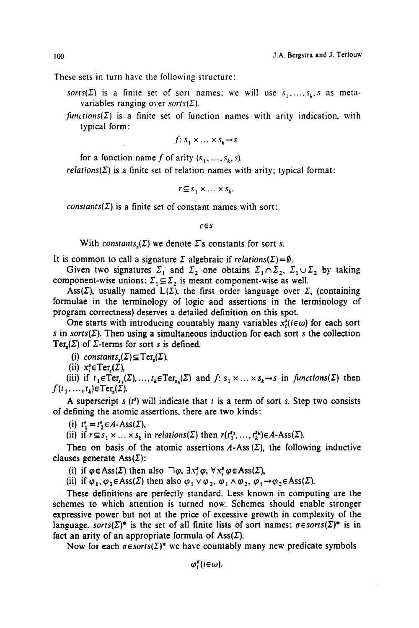These sets in turn have the following structure:

- $sorts(\Sigma)$  is a finite set of sort names: we will use  $s_1, ..., s_k$ , *s* as metavariables ranging over *sorts(* $\Sigma$ *)*.
- $functions(\Sigma)$  is a finite set of function names with arity indication, with typical form:

$$
f: s_1 \times \ldots \times s_k \to s
$$

for a function name f of arity  $(s_1, \ldots, s_k, s)$ .

*relations(* $\Sigma$ *)* is a finite set of relation names with arity; typical format:

 $r \subseteq s_1 \times \ldots \times s_k$ .

*constants* $(\Sigma)$  is a finite set of constant names with sort:

*CES* 

With *constants,* $(\Sigma)$  we denote  $\Sigma$ 's constants for sort s.

It is common to call a signature  $\Sigma$  algebraic if *relations*( $\Sigma$ ) =  $\emptyset$ .

Given two signatures  $\Sigma_1$  and  $\Sigma_2$  one obtains  $\Sigma_1 \cap \Sigma_2$ ,  $\Sigma_1 \cup \Sigma_2$  by taking component-wise unions:  $\Sigma_1 \subseteq \Sigma_2$  is meant component-wise as well.

Ass( $\Sigma$ ), usually named  $L(\Sigma)$ , the first order language over  $\Sigma$ , (containing formulae in the terminology of logic and assertions in the terminology of program correctness) deserves a detailed definition on this spot.

One starts with introducing countably many variables  $x_i^s(i \in \omega)$  for each sort s in  $sorts(\Sigma)$ . Then using a simultaneous induction for each sort s the collection Ter<sub>c</sub>( $\Sigma$ ) of  $\Sigma$ -terms for sort s is defined.

(i) *constants<sub>s</sub>*( $\Sigma$ )  $\subseteq$  Ter<sub>s</sub>( $\Sigma$ ),

(ii)  $x_i^s \in \text{Ter.}(\Sigma)$ ,

(iii) if  $t_1 \in \text{Ter}_{s_1}(\Sigma), \ldots, t_k \in \text{Ter}_{s_k}(\Sigma)$  and  $f: s_1 \times \ldots \times s_k \to s$  in *functions*( $\Sigma$ ) then  $f(t_1, \ldots, t_k) \in \text{Ter}_{s}(\Sigma)$ .

A superscript s  $(t^s)$  will indicate that t is a term of sort s. Step two consists of defining the atomic assertions, there are two kinds:

(i)  $t_1^s = t_2^s \in A$ -Ass $(\Sigma)$ ,

(ii) if  $r \subseteq s_1 \times ... \times s_k$  in *relations(* $\Sigma$ *)* then  $r(t_1^{s_1},...,t_k^{s_k}) \in A$ -Ass( $\Sigma$ ).

Then on basis of the atomic assertions  $A$ -Ass  $(\Sigma)$ , the following inductive clauses generate  $\text{Ass}(\Sigma)$ :

(i) if  $\varphi \in Ass(\Sigma)$  then also  $\bigcap \varphi$ ,  $\exists x_i^s \varphi$ ,  $\forall x_i^s \varphi \in Ass(\Sigma)$ ,

(ii) if  $\varphi_1, \varphi_2 \in Ass(\Sigma)$  then also  $\varphi_1 \vee \varphi_2, \varphi_1 \wedge \varphi_2, \varphi_1 \rightarrow \varphi_2 \in Ass(\Sigma).$ 

These definitions are perfectly standard. Less known in computing are the schemes to which attention is turned now. Schemes should enable stronger expressive power but not at the price of excessive growth in complexity of the language, *sorts*( $\Sigma$ )\* is the set of all finite lists of sort names;  $\sigma \in sorts(\Sigma)$ \* is in fact an arity of an appropriate formula of Ass $(\Sigma)$ .

Now for each  $\sigma$  *esorts*( $\Sigma$ )\* we have countably many new predicate symbols

 $\varphi_i^{\sigma}$  *(i*  $\in \omega$ ).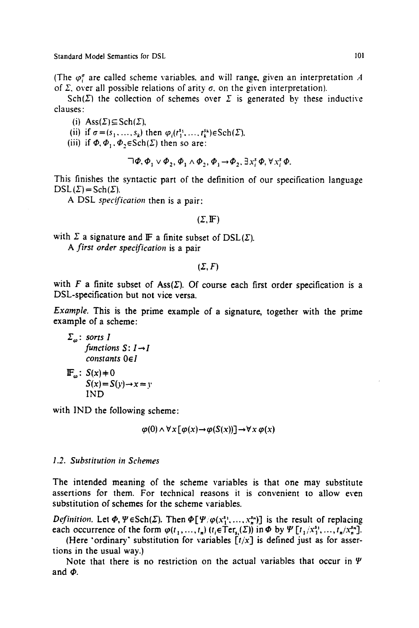(The  $\varphi^{\sigma}$  are called scheme variables, and will range, given an interpretation A of  $\Sigma$ , over all possible relations of arity  $\sigma$ , on the given interpretation).

Sch( $\Sigma$ ) the collection of schemes over  $\Sigma$  is generated by these inductive clauses:

- (i)  $\text{Ass}(\Sigma) \subseteq \text{Sch}(\Sigma)$ ,
- (ii) if  $\sigma = (s_1, \ldots, s_k)$  then  $\varphi_i(t_1^{s_1}, \ldots, t_k^{s_k}) \in \text{Sch}(\Sigma)$ .
- (iii) if  $\Phi$ ,  $\Phi$ <sub>1</sub>,  $\Phi$ ,  $\in$  Sch( $\Sigma$ ) then so are:

$$
\Box \Phi, \Phi_1 \lor \Phi_2, \Phi_1 \land \Phi_2, \Phi_1 \rightarrow \Phi_2, \exists x_i^s \Phi, \forall x_i^s \Phi.
$$

This finishes the syntactic part of the definition of our specification language  $DSL(\Sigma) = Sch(\Sigma)$ .

A DSL *specification* then is a pair:

#### $(\Sigma, \mathbb{F})$

with  $\Sigma$  a signature and IF a finite subset of DSL( $\Sigma$ ). *A first order specification* is a pair

 $(\Sigma, F)$ 

with  $F$  a finite subset of Ass $(\Sigma)$ . Of course each first order specification is a **DSL-specification but not vice versa.** 

*Example.* **This is the prime example of a signature, together with the prime**  example of a scheme:

$$
\Sigma_{\omega} \text{: sorts } I
$$
  
functions  $S: I \rightarrow I$   
constants  $0 \in I$   
 $\mathbb{F}_{\omega} \text{: } S(x) \neq 0$   
 $S(x) = S(y) \rightarrow x = y$   
IND

with IND the following scheme:

$$
\varphi(0) \wedge \forall x [\varphi(x) \rightarrow \varphi(S(x))] \rightarrow \forall x \varphi(x)
$$

## *1.2. Substitution in Schemes*

The intended meaning of the scheme variables is that one may substitute assertions for them. For technical reasons it is convenient to allow even substitution of schemes for the scheme variables.

*Definition.* Let  $\Phi$ ,  $\Psi \in Sch(\Sigma)$ . Then  $\Phi[\Psi/\varphi(x_1^{s_1},...,x_n^{s_n})]$  is the result of replacing each occurrence of the form  $\varphi(t_1, ..., t_n)$   $(t_i \in \text{Ter}_s(\Sigma))$  in  $\Phi$  by  $\Psi[t_1/x_1^{s_1}, ..., t_n/x_n^{s_n}].$ 

(Here "ordinary" substitution for variables *[t/x]* is defined just as for assertions in the usual way.)

Note that there is no restriction on the actual variables that occur in  $\Psi$ and  $\Phi$ .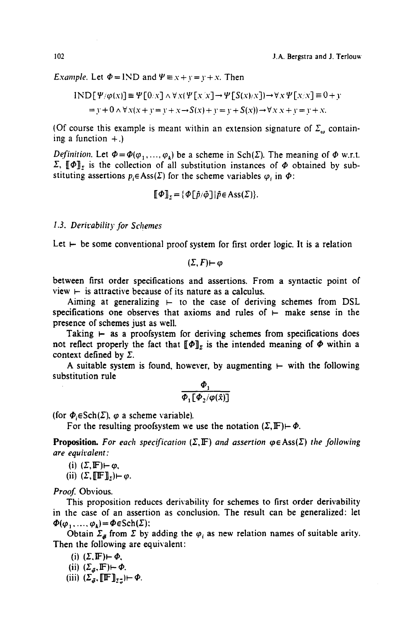*Example.* Let  $\Phi = \text{IND}$  and  $\Psi \equiv x + y = y + x$ . Then

$$
IND[\Psi/\varphi(x)] \equiv \Psi[0/x] \land \forall x(\Psi[x/x] \rightarrow \Psi[S(x)/x]) \rightarrow \forall x \Psi[x/x] \equiv 0 + y
$$
  
= y + 0 \land \forall x(x + y = y + x \rightarrow S(x) + y = y + S(x)) \rightarrow \forall x x + y = y + x.

(Of course this example is meant within an extension signature of  $\Sigma_{\omega}$  containing a function  $+$ .)

*Definition.* Let  $\Phi = \Phi(\varphi_1, ..., \varphi_k)$  be a scheme in Sch( $\Sigma$ ). The meaning of  $\Phi$  w.r.t.  $\Sigma$ ,  $[\![\Phi]\!]_2$  is the collection of all substitution instances of  $\Phi$  obtained by substituting assertions  $p_i \in Ass(\Sigma)$  for the scheme variables  $\varphi_i$  in  $\Phi$ :

$$
\llbracket \Phi \rrbracket_{\mathbf{r}} = \{ \Phi[\vec{p}/\vec{\phi}] | \vec{p} \in \text{Ass}(\Sigma) \}.
$$

## *1.3. Derivability for Schemes*

Let  $\vdash$  be some conventional proof system for first order logic. It is a relation

 $(\Sigma, F) \mapsto \varphi$ 

between first order specifications and assertions. From a syntactic point of view  $\vdash$  is attractive because of its nature as a calculus.

Aiming at generalizing  $\vdash$  to the case of deriving schemes from DSL specifications one observes that axioms and rules of  $\vdash$  make sense in the presence of schemes just as well

Taking  $\vdash$  as a proofsystem for deriving schemes from specifications does not reflect properly the fact that  $[\![\Phi]\!]$ , is the intended meaning of  $\Phi$  within a context defined by  $\Sigma$ .

A suitable system is found, however, by augmenting  $\vdash$  with the following substitution rule

$$
\frac{\varPhi_1}{\varPhi_1[\varPhi_2/\varphi(\tilde{x})]}
$$

(for  $\Phi_i \in \text{Sch}(\Sigma)$ ,  $\varphi$  a scheme variable).

For the resulting proofsystem we use the notation  $(\Sigma, \mathbb{F}) \mapsto \Phi$ .

**Proposition.** For each specification  $(\Sigma, \mathbb{F})$  and assertion  $\varphi \in \text{Ass}(\Sigma)$  the following *are equiralent :* 

- (i)  $(\Sigma, \mathbb{F}) \vdash \varphi$ ,
- (ii)  $(\Sigma, [\![\mathbf{F}]\!]_2) \vdash \varphi$ .

*Proof.* Obvious.

This proposition reduces derivability for schemes to first order derivability in the case of an assertion as conclusion. The result can be generalized: let  $\Phi(\varphi_1, ..., \varphi_k) = \Phi \in \text{Sch}(\Sigma)$ :

Obtain  $\Sigma_{\vec{\theta}}$  from  $\Sigma$  by adding the  $\varphi_i$  as new relation names of suitable arity. Then the following are equivalent:

- (i)  $(\Sigma, \mathbb{F}) \vdash \phi$ ,
- (ii)  $(\Sigma_{\vec{\sigma}}, \mathbb{F}) \leftarrow \Phi$ .
- (iii)  $(\Sigma_{\vec{\sigma}}, [\![\mathbb{F}]\!]_{\Sigma_{\vec{\sigma}}} ) \vdash \Phi.$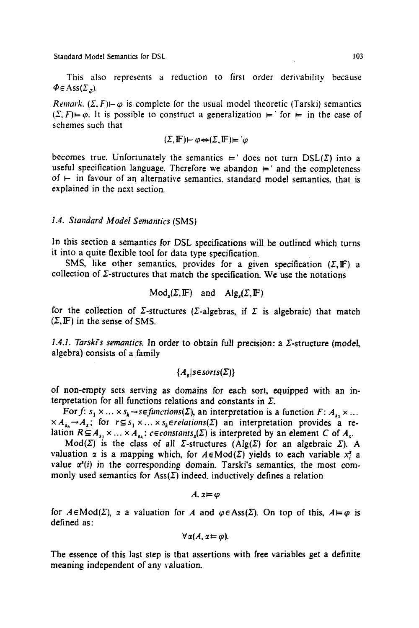This also represents a reduction to first order derivability because  $\Phi \in Ass(\Sigma_{\pi})$ .

*Remark.*  $(\Sigma, F) \mapsto \omega$  is complete for the usual model theoretic (Tarski) semantics  $(\Sigma, F) \models \varphi$ . It is possible to construct a generalization  $\models'$  for  $\models$  in the case of schemes such that

$$
(\Sigma, \mathbb{F}) \vdash \varphi \Leftrightarrow (\Sigma, \mathbb{F}) \vDash \varphi
$$

becomes true. Unfortunately the semantics  $\neq'$  does not turn  $\text{DSL}(\Sigma)$  into a useful specification language. Therefore we abandon  $\models'$  and the completeness of  $\vdash$  in favour of an alternative semantics, standard model semantics, that is explained in the next section.

## *t.4. Standard Model Semantics* (SMS)

In this section a semantics for DSL specifications will be outlined which turns it into a quite flexible tool for data type specification.

SMS, like other semantics, provides for a given specification  $(\Sigma, \mathbb{F})$  a collection of  $\Sigma$ -structures that match the specification. We use the notations

$$
Mod_s(\Sigma, \mathbb{F}) \quad \text{and} \quad Alg_s(\Sigma, \mathbb{F})
$$

for the collection of  $\Sigma$ -structures ( $\Sigma$ -algebras, if  $\Sigma$  is algebraic) that match  $(\Sigma, \mathbb{F})$  in the sense of SMS.

1.4.1. Tarski's semantics. In order to obtain full precision: a *Σ*-structure (model, algebra) consists of a family

 ${A$ ,  $|$ *s* $\in$ *sorts* $(\Sigma)$ }

of non-empty sets serving as domains for each sort, equipped with an interpretation for all functions relations and constants in  $\Sigma$ .

For f:  $s_1 \times ... \times s_k \rightarrow s \in$  functions( $\Sigma$ ), an interpretation is a function F:  $A_1 \times ...$  $\times A_{s_k} \rightarrow A_s$ ; for  $r \subseteq s_1 \times ... \times s_k$ *erelations(* $\Sigma$ *)* an interpretation provides a relation  $R \subseteq A_{s_1} \times ... \times A_{s_k}$ ;  $c \in constants_s(\Sigma)$  is interpreted by an element C of  $A_s$ .

Mod( $\Sigma$ ) is the class of all  $\Sigma$ -structures (Alg( $\Sigma$ ) for an algebraic  $\Sigma$ ). A valuation  $\alpha$  is a mapping which, for  $A \in Mod(\Sigma)$  yields to each variable  $x_i^s$  a value  $x^{s}(i)$  in the corresponding domain. Tarski's semantics, the most commonly used semantics for  $\text{Ass}(\Sigma)$  indeed, inductively defines a relation

 $A, x \models \varphi$ 

for  $A \in Mod(\Sigma)$ , x a valuation for A and  $\varphi \in Ass(\Sigma)$ . On top of this,  $A \vDash \varphi$  is defined as:

$$
\forall \alpha(A, \alpha \models \varphi).
$$

The essence of this last step is that assertions with free variables get a definite meaning independent of any valuation.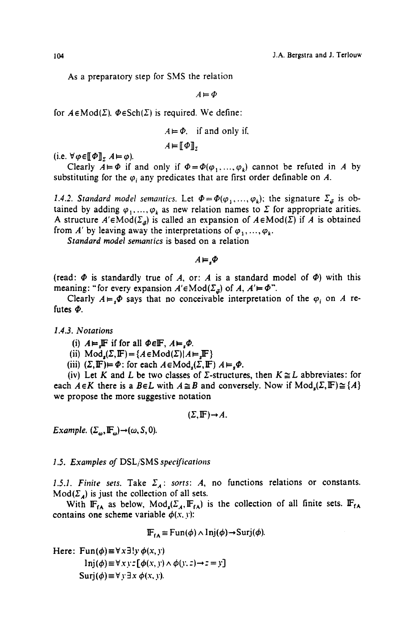As a preparatory step for SMS the relation

 $A = \Phi$ 

for  $A \in Mod(\Sigma)$ .  $\Phi \in Sch(\Sigma)$  is required. We define:

$$
A \vDash \Phi
$$
 if and only if,  

$$
A \vDash [\![\Phi]\!]_S
$$

(i.e.  $\forall \varphi \in [\![\Phi]\!]$ ,  $A \models \varphi$ ).

Clearly  $A \models \Phi$  if and only if  $\Phi = \Phi(\varphi_1, ..., \varphi_k)$  cannot be refuted in A by substituting for the  $\varphi_i$  any predicates that are first order definable on A.

*1.4.2. Standard model semantics.* Let  $\Phi = \Phi(\varphi_1, ..., \varphi_k)$ ; the signature  $\Sigma_{\vec{\varphi}}$  is obtained by adding  $\varphi_1, ..., \varphi_k$  as new relation names to  $\Sigma$  for appropriate arities. A structure  $A' \in Mod(\Sigma_a)$  is called an expansion of  $A \in Mod(\Sigma)$  if A is obtained from A' by leaving away the interpretations of  $\varphi_1, \ldots, \varphi_k$ .

*Standard model semantics* is based on a relation

 $A = .\Phi$ 

(read:  $\Phi$  is standardly true of A, or: A is a standard model of  $\Phi$ ) with this meaning: "for every expansion  $A' \in Mod(\Sigma_{\vec{a}})$  of  $A, A' \models \Phi$ ".

Clearly  $A \models_{s} \Phi$  says that no conceivable interpretation of the  $\varphi_i$  on A refutes  $\Phi$ .

*1.4.3. Notations* 

(i)  $A \models \mathbb{F}$  if for all  $\Phi \in \mathbb{F}$ ,  $A \models \Phi$ .

- (ii)  $Mod_s(\Sigma, \mathbb{F}) = \{A \in Mod(\Sigma) | A \models \mathbb{F}\}\$
- (iii)  $(\Sigma, \mathbb{F}) \models \Phi$ : for each  $A \in Mod_{\mathcal{L}}(\Sigma, \mathbb{F})$   $A \models \Phi$ .

(iv) Let K and L be two classes of  $\Sigma$ -structures, then  $K \cong L$  abbreviates: for each  $A \in K$  there is a  $B \in L$  with  $A \cong B$  and conversely. Now if  $Mod_s(\Sigma, \mathbb{F}) \cong \{A\}$ we propose the more suggestive notation

$$
(\Sigma, \mathbb{F}) {\rightarrow} A.
$$

*Example.*  $(\Sigma_{\omega}, \mathbb{F}_{\omega}) \rightarrow (\omega, S, 0)$ .

#### *1.5. Examples of* DSL/SMS *specifications*

1.5.1. Finite sets. Take  $\Sigma_A$ : *sorts: A*, no functions relations or constants.  $Mod(\Sigma_A)$  is just the collection of all sets.

With  $\mathbb{F}_{\mathsf{f}\mathsf{A}}$  as below,  $\text{Mod}_{\mathsf{s}}(\Sigma_A,\mathbb{F}_{\mathsf{f}\mathsf{A}})$  is the collection of all finite sets.  $\mathbb{F}_{\mathsf{f}\mathsf{A}}$ contains one scheme variable  $\phi(x, y)$ :

 $\mathbf{F}_{\mathbf{f}\mathbf{A}} \equiv \text{Fun}(\phi) \wedge \text{Inj}(\phi) \rightarrow \text{Surj}(\phi)$ .

Here:  $\text{Fun}(\phi) \equiv \forall x \exists ! y \phi(x, y)$ 

 $\text{Inj}(\phi) \equiv \forall x \, y \, z \, [\phi(x, y) \land \phi(y, z) \rightarrow z = y]$  $Surj(\phi) \equiv \forall$   $\forall$   $\exists$   $x \phi(x, y)$ .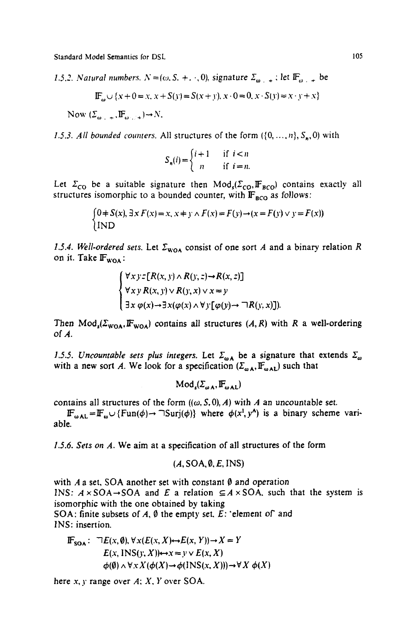*1.5.2. Natural numbers.*  $N=(\omega, S, +, \cdot, 0)$ , signature  $\Sigma_{\omega_{m-+}}$ ; let  $\mathbb{F}_{\omega_{m-+}}$  be

$$
\mathbb{F}_{\omega} \cup \{x + 0 = x, x + S(y) = S(x + y), x \cdot 0 = 0, x \cdot S(y) = x \cdot y + x\}
$$

Now  $(\Sigma_{\alpha_1}, \Pi_{\alpha_2}, \Pi_{\alpha_3}, \bot) \rightarrow N$ .

*1.5.3. All bounded counters.* All structures of the form  $(\{0, ..., n\}, S_n, 0)$  with

$$
S_n(i) = \begin{cases} i+1 & \text{if } i < n \\ n & \text{if } i = n. \end{cases}
$$

Let  $\Sigma_{\text{CO}}$  be a suitable signature then  $\text{Mod}_s(\Sigma_{\text{CO}}, \mathbb{F}_{\text{BCO}})$  contains exactly all structures isomorphic to a bounded counter, with  $\mathbb{F}_{\text{RCO}}$  as follows:

$$
\begin{cases} 0 + S(x), \exists x F(x) = x, x + y \wedge F(x) = F(y) \rightarrow (x = F(y) \vee y = F(x)) \\ \text{IND} \end{cases}
$$

1.5.4. Well-ordered sets. Let  $\Sigma_{\text{WOA}}$  consist of one sort A and a binary relation R on it. Take  $\mathbb{F}_{\text{woa}}$ :

$$
\begin{cases} \forall x \, y \, z \, [R(x, y) \land R(y, z) \rightarrow R(x, z)] \\ \forall x \, y \, R(x, y) \lor R(y, x) \lor x \neq y \\ \exists x \, \varphi(x) \rightarrow \exists x (\varphi(x) \land \forall y [\varphi(y) \rightarrow \neg R(y, x)]). \end{cases}
$$

Then  $Mod_s(\Sigma_{WOA}, F_{WOA})$  contains all structures  $(A, R)$  with R a well-ordering of A.

*1.5.5. Uncountable sets plus integers.* Let  $\Sigma_{\omega}$  be a signature that extends  $\Sigma_{\omega}$ with a new sort A. We look for a specification  $(\Sigma_{\omega A}, \mathbb{F}_{\omega A})$  such that

 $Mod_{a}(\Sigma_{n+1}, \mathbb{F}_{n+1})$ 

contains all structures of the form  $((\omega, S, 0), A)$  with A an uncountable set.

 $\mathbf{F}_{\omega \mathbf{A} \mathbf{L}} = \mathbf{F}_{\omega} \cup \{\text{Fun}(\phi) \rightarrow \text{Fun}(\phi)\}\$  where  $\phi(x^i, y^{\mathbf{A}})$  is a binary scheme variable.

*1.5.6. Sets on A.* We aim at a specification of all structures of the form

$$
(A, SOA, \emptyset, E, INS)
$$

with A a set, SOA another set with constant  $\emptyset$  and operation **INS:**  $A \times SOA \rightarrow SOA$  and E a relation  $\subseteq A \times SOA$ , such that the system is isomorphic with the one obtained by taking **SOA:** finite subsets of  $A$ ,  $\emptyset$  the empty set.  $E$ : 'element of' and **INS:** insertion.

$$
\begin{aligned} \n\mathbb{F}_{\text{SOA}} &: \quad \nabla E(x, \emptyset), \forall x (E(x, X) \leftrightarrow E(x, Y)) \rightarrow X = Y \\ \n& E(x, \text{INS}(y, X)) \leftrightarrow x = y \lor E(x, X) \\ \n& \phi(\emptyset) \land \forall x X (\phi(X) \rightarrow \phi(\text{INS}(x, X))) \rightarrow \forall X \phi(X) \n\end{aligned}
$$

here  $x, y$  range over  $A$ ;  $X, Y$  over SOA.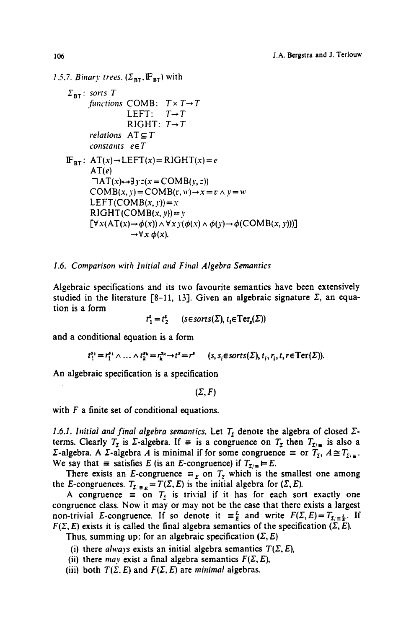*1.5.7. Binary trees.*  $(\Sigma_{\text{BT}}, \mathbb{F}_{\text{BT}})$  with

$$
\Sigma_{\text{BT}}: \text{ sorts } T
$$
\n
$$
\text{functions COMB}: T \times T \to T
$$
\n
$$
\text{LEFT}: T \to T
$$
\n
$$
\text{RIGHT}: T \to T
$$
\n
$$
\text{relations } AT \subseteq T
$$
\n
$$
\text{constants } e \in T
$$
\n
$$
\mathbf{F}_{\text{BT}}: AT(x) \to \text{LEFT}(x) = \text{RIGHT}(x) = e
$$
\n
$$
\text{AT}(e)
$$
\n
$$
\neg AT(x) \to \exists y : z(x = \text{COMB}(y, z))
$$
\n
$$
\text{COMB}(x, y) = \text{COMB}(x, w) \to x = v \land y = w
$$
\n
$$
\text{LEFT}(\text{COMB}(x, y)) = x
$$
\n
$$
\text{RIGHT}(\text{COMB}(x, y)) = y
$$
\n
$$
[\forall x (AT(x) \to \phi(x)) \land \forall x y (\phi(x) \land \phi(y) \to \phi(\text{COMB}(x, y)))] \to \forall x \phi(x).
$$

## *1.6. Comparison with Initial and Final Algebra Semantics*

Algebraic specifications and its two favourite semantics have been extensively studied in the literature [8-11, 13]. Given an algebraic signature  $\Sigma$ , an equation is a form

 $t_1^s = t_2^s$  (sesorts( $\Sigma$ ),  $t_i \in \text{Ter}_s(\Sigma)$ )

and a conditional equation is a form

$$
t_1^{s_1} = r_1^{s_1} \wedge \ldots \wedge t_k^{s_k} = r_k^{s_k} \rightarrow t^s = r^s \qquad (s, s_i \in \text{sorts}(\Sigma), t_i, r_i, t, r \in \text{Ter}(\Sigma)).
$$

An algebraic specification is a specification

$$
(\Sigma, F)
$$

with  $F$  a finite set of conditional equations.

*1.6.1. Initial and final algebra semantics. Let*  $T<sub>x</sub>$  denote the algebra of closed  $\Sigma$ terms. Clearly  $T_x$  is *Z*-algebra. If  $\equiv$  is a congruence on  $T_x$  then  $T_{x/\equiv}$  is also a  $\Sigma$ -algebra. A  $\Sigma$ -algebra A is minimal if for some congruence  $\equiv$  or  $T_{\Sigma}$ ,  $A \cong T_{\Sigma/\Sigma}$ . We say that  $\equiv$  satisfies E (is an E-congruence) if  $T_{\Sigma/\equiv} \models E$ .

There exists an E-congruence  $\equiv_E$  on  $T<sub>z</sub>$  which is the smallest one among the E-congruences.  $T_{\Sigma/\equiv E} = T(\Sigma, E)$  is the initial algebra for  $(\Sigma, E)$ .

A congruence  $\equiv$  on  $T<sub>r</sub>$  is trivial if it has for each sort exactly one congruence class. Now it may or may not be the case that there exists a largest non-trivial E-congruence. If so denote it  $\equiv_{E}^{L}$  and write  $F(\Sigma,E)=T_{\Sigma/\equiv_{E}^{L}}$ . If  $F(\Sigma, E)$  exists it is called the final algebra semantics of the specification  $(\Sigma, E)$ .

Thus, summing up: for an algebraic specification  $(\Sigma, E)$ 

- (i) there *always* exists an initial algebra semantics  $T(\Sigma, E)$ ,
- (ii) there *may* exist a final algebra semantics  $F(\Sigma, E)$ ,
- (iii) both  $T(\Sigma, E)$  and  $F(\Sigma, E)$  are *minimal* algebras.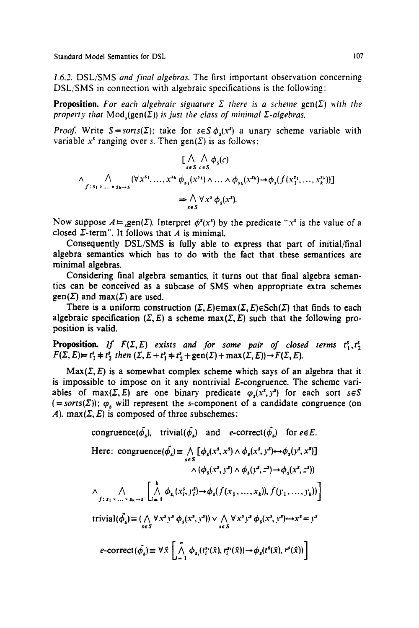*1.6.2.* DSL/SMS *and final algebras.* The first important observation concerning DSL/SMS in connection with algebraic specifications is the following:

**Proposition.** For each algebraic signature  $\Sigma$  there is a scheme gen( $\Sigma$ ) with the *property that*  $Mod_{\epsilon}(\text{gen}(\Sigma))$  *is just the class of minimal*  $\Sigma$ -algebras.

*Proof.* Write  $S = sorts(\Sigma)$ ; take for  $s \in S \phi_{s}(x^{s})$  a unary scheme variable with variable x<sup>s</sup> ranging over s. Then gen( $\Sigma$ ) is as follows:

$$
\left[\bigwedge_{s \in S} \bigwedge_{c \in S} \phi_{s}(c)\right]
$$
  

$$
\bigwedge_{f: s_{1} \times ... \times s_{k} \to s} (\forall x^{s_{1}}, ..., x^{s_{k}} \phi_{s_{1}}(x^{s_{1}}) \wedge ... \wedge \phi_{s_{k}}(x^{s_{k}}) \to \phi_{s}(f(x_{1}^{s_{1}}, ..., x_{k}^{s_{k}}))]
$$
  

$$
\Rightarrow \bigwedge_{s \in S} \forall x^{s} \phi_{s}(x^{s}).
$$

Now suppose  $A \vDash \text{gen}(\Sigma)$ . Interpret  $\phi^s(x^s)$  by the predicate "x<sup>s</sup> is the value of a closed  $\Sigma$ -term". It follows that  $A$  is minimal.

Consequently DSL/SMS is fully able to express that part of initial/final algebra semantics which has to do with the fact that these semantices are minimal algebras.

Considering final algebra semantics, it turns out that final algebra semantics can be conceived as a subcase of SMS when appropriate extra schemes gen( $\Sigma$ ) and max( $\Sigma$ ) are used.

There is a uniform construction  $(\Sigma, E) \in \text{max}(\Sigma, E) \in \text{Sch}(\Sigma)$  that finds to each algebraic specification  $(\Sigma, E)$  a scheme max $(\Sigma, E)$  such that the following proposition is valid.

**Proposition.** *If*  $F(\Sigma, E)$  exists and for some pair of closed terms  $t_1^s, t_2^s$  $F(\Sigma, E) = t_1^s + t_2^s$  then  $(\Sigma, E + t_1^s + t_2^s + \text{gen}(\Sigma) + \text{max}(\Sigma, E)) \rightarrow F(\Sigma, E)$ .

 $Max(\Sigma, E)$  is a somewhat complex scheme which says of an algebra that it is impossible to impose on it any nontrivial E-congruence. The scheme variables of max( $\Sigma$ , E) are one binary predicate  $\varphi_s(x^s, y^s)$  for each sort  $s \in S$  $(=sorts(\Sigma))$ ;  $\varphi$ , will represent the s-component of a candidate congruence (on A).  $max(\Sigma, E)$  is composed of three subschemes:

congruence
$$
(\vec{\phi}_s)
$$
, trivial $(\vec{\phi}_s)$  and  $e\text{-correct}(\vec{\phi}_s)$  for  $e \in E$ .  
\nHere: congruence $(\vec{\phi}_s) \equiv \bigwedge_{s \in S} [\phi_s(x^s, x^s) \wedge \phi_s(x^s, y^s) \leftrightarrow \phi_s(y^s, x^s)]$   
\n $\wedge (\phi_s(x^s, y^s) \wedge \phi_s(y^s, z^s) \rightarrow \phi_s(x^s, z^s))$   
\n $\wedge \bigwedge_{f:s_1 \times \dots \times s_k \to s} \bigwedge_{i=1}^k \phi_{s_i}(x^s_i, y^s_i) \rightarrow \phi_s(f(x_1, \dots, x_k)), f(y_1, \dots, y_k)) \bigg]$   
\ntrivial $(\vec{\phi}_s) \equiv (\bigwedge_{s \in S} \forall x^s y^s \phi_s(x^s, y^s)) \vee \bigwedge_{s \in S} \forall x^s y^s \phi_s(x^s, y^s) \leftrightarrow x^s = y^s$   
\n $e\text{-correct}(\vec{\phi}_s) \equiv \forall \tilde{x} \bigg[ \bigwedge_{i=1}^n \phi_{s_i}(t_i^s(\tilde{x}), r_i^s(\tilde{x})) \rightarrow \phi_s(t^s(\tilde{x}), r^s(\tilde{x})) \bigg]$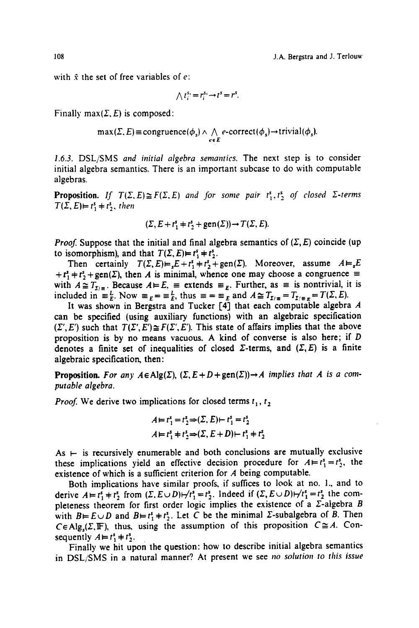108 J.A. Bergstra and J. Terlouw

with  $\bar{x}$  the set of free variables of e:

$$
\bigwedge t_i^{s_1} = r_i^{s_1} \rightarrow t^s = r^s.
$$

Finally max( $\Sigma$ , E) is composed:

$$
\max(\Sigma, E) \equiv \text{congruence}(\phi_s) \land \bigwedge_{e \in E} e\text{-correct}(\phi_s) \to \text{trivial}(\phi_s).
$$

*1.6.3.* DSL/SMS *and initial algebra semantics.* The next step is to consider initial algebra semantics. There is an important subcase to do with computable algebras.

**Proposition.** *If*  $T(\Sigma, E) \cong F(\Sigma, E)$  and for some pair  $t_1^s$ ,  $t_2^s$  of closed  $\Sigma$ -terms  $T(\Sigma, E) \vDash t_1^s \vDash t_2^s$ , then

$$
(\Sigma, E + t_1^s + t_2^s + \text{gen}(\Sigma)) \rightarrow T(\Sigma, E).
$$

*Proof.* Suppose that the initial and final algebra semantics of  $(\Sigma, E)$  coincide (up to isomorphism), and that  $T(\Sigma, E) = t_1^s + t_2^s$ .

Then certainly  $T(\Sigma, E) = E + t_1^s + t_2^s + \text{gen}(\Sigma)$ . Moreover, assume  $A = E$  $+ t<sup>2</sup> + t<sup>3</sup> + \text{gen}(\Sigma)$ , then A is minimal, whence one may choose a congruence = with  $A \cong T_{y,z}$ . Because  $A \models E$ ,  $\equiv$  extends  $\equiv$ <sub>F</sub>. Further, as  $\equiv$  is nontrivial, it is included in  $\equiv^L_{F}$ . Now  $\equiv^L_{F} = \equiv^L_{E}$ , thus  $\equiv^L_{F} = \equiv^L_{F}$  and  $A \cong^L_{F} I_{E/F} = T(L, E)$ .

It was shown in Bergstra and Tucker [4] that each computable algebra A can be specified (using auxiliary functions) with an algebraic specification  $(\Sigma', E')$  such that  $T(\Sigma', E') \cong F(\Sigma', E')$ . This state of affairs implies that the above proposition is by no means vacuous. A kind of converse is also here; if D denotes a finite set of inequalities of closed  $\Sigma$ -terms, and  $(\Sigma, E)$  is a finite algebraic specification, then:

**Proposition.** For any  $A \in \text{Alg}(\Sigma)$ ,  $(\Sigma, E + D + \text{gen}(\Sigma)) \rightarrow A$  implies that A is a com*putable algebra.* 

*Proof.* We derive two implications for closed terms  $t_1, t_2$ 

$$
A = t_1^s = t_2^s \Rightarrow (\Sigma, E) \vdash t_1^s = t_2^s
$$
  

$$
A = t_1^s + t_2^s \Rightarrow (\Sigma, E + D) \vdash t_1^s + t_2^s
$$

As  $\vdash$  is recursively enumerable and both conclusions are mutually exclusive these implications yield an effective decision procedure for  $A = t_1^s = t_2^s$ , the existence of which is a sufficient criterion for A being computable.

Both implications have similar proofs, if suffices to look at no. 1., and to derive  $A=t_1^s+t_2^s$  from  $(\Sigma, E\cup D)$  +  $t_1^s=t_2^s$ . Indeed if  $(\Sigma, E\cup D)$  +  $t_1^s=t_2^s$  the completeness theorem for first order logic implies the existence of a  $\Sigma$ -algebra B with  $B=E\cup D$  and  $B=r_1^*+r_2^*$ . Let C be the minimal  $\Sigma$ -subalgebra of B. Then  $C \in Alg_s(\Sigma, \mathbb{F})$ , thus, using the assumption of this proposition  $C \cong A$ . Consequently  $A = t_1^s + t_2^s$ .

Finally we hit upon the question: how to describe initial algebra semantics in DSL/SMS in a natural manner? At present we see no *solution to this issue*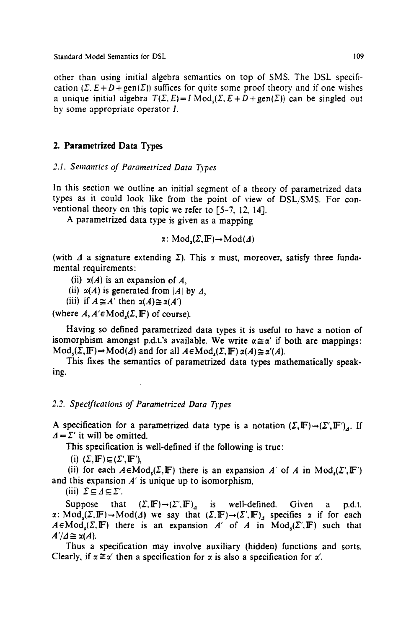other than using initial algebra semantics on top of SMS. The DSL specification  $(\Sigma, E+D+gen(\Sigma))$  suffices for quite some proof theory and if one wishes a unique initial algebra  $T(\Sigma, E) = I \text{Mod}_{\Sigma}(E, E + D + \text{gen}(\Sigma))$  can be singled out by some appropriate operator I.

## **2. Parametrized Data Types**

#### *2.1. Semantics of Parametri-ed Data Types*

In this section we outline an initial segment of a theory of parametrized data types as it could look like from the point of view of DSL/SMS. For conventional theory on this topic we refer to [5-7, 12, 14].

A parametrized data type is given as a mapping

$$
\alpha\colon \text{Mod}_s(\Sigma, \mathbb{F}) \to \text{Mod}(\varDelta)
$$

(with  $\Delta$  a signature extending  $\Sigma$ ). This x must, moreover, satisfy three fundamental requirements:

(ii)  $\alpha(A)$  is an expansion of A.

(ii)  $\alpha(A)$  is generated from |A| by  $\Delta$ ,

(iii) if  $A \cong A'$  then  $\alpha(A) \cong \alpha(A')$ 

(where  $A, A' \in Mod_r(\Sigma, \mathbb{F})$  of course).

Having so defined parametrized data types it is useful to have a notion of isomorphism amongst p.d.t.'s available. We write  $\alpha \cong \alpha'$  if both are mappings:  $Mod_{\epsilon}(\Sigma, \mathbb{F}) \rightarrow Mod(\Delta)$  and for all  $A \in Mod_{\epsilon}(\Sigma, \mathbb{F})$   $\alpha(A) \cong \alpha'(A)$ .

This fixes the semantics of parametrized data types mathematically speaking.

## *2.2. Specifications of Pararnetri:ed Data Types*

A specification for a parametrized data type is a notation  $(\Sigma,\mathbb{F})\rightarrow (\Sigma',\mathbb{F}')_4$ . If  $\Delta = \Sigma'$  it will be omitted.

This specification is well-defined if the following is true:

(i)  $(\Sigma, \mathbb{F}) \subseteq (\Sigma', \mathbb{F}')$ ,

(ii) for each  $A \in Mod_c(\Sigma, \mathbb{F})$  there is an expansion A' of A in Mod<sub>c</sub>( $\Sigma'$ , IF') and this expansion *A'* is unique up to isomorphism,

(iii)  $\Sigma \subseteq \Delta \subseteq \Sigma'$ .

Suppose that  $(\Sigma, \mathbb{F}) \rightarrow (\Sigma', \mathbb{F})$  is well-defined. Given a p.d.t.  $x: Mod_{\mathfrak{c}}(\Sigma, \mathbb{F}) \to Mod(\Delta)$  we say that  $(\Sigma, \mathbb{F}) \to (\Sigma', \mathbb{F})_d$  specifies x if for each  $A \in Mod_{\epsilon}(\Sigma, \mathbb{F})$  there is an expansion A' of A in Mod $_{\epsilon}(\Sigma, \mathbb{F})$  such that  $A'/A \cong \alpha(A)$ .

Thus a specification may involve auxiliary (hidden) functions and sorts. Clearly, if  $x \cong x'$  then a specification for x is also a specification for x'.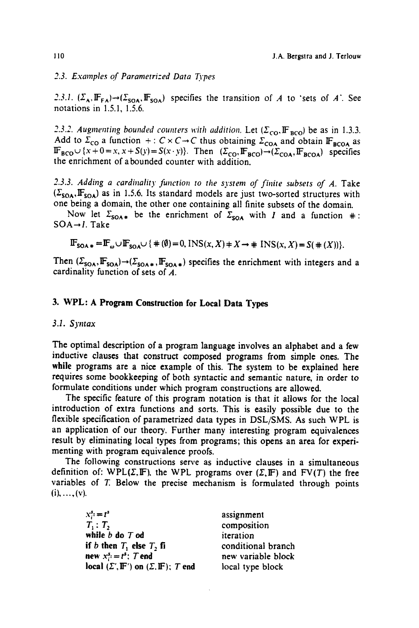*2.3. Examples of Parametrized Data Types* 

2.3.1.  $(\Sigma_A, \mathbb{F}_{FA}) \rightarrow (\Sigma_{SOA}, \mathbb{F}_{SOA})$  specifies the transition of A to 'sets of A'. See notations in 1.5.1, 1.5.6.

2.3.2. Augmenting bounded counters with addition. Let ( $\Sigma_{\rm CO}$ ,  $\mathbb{F}_{\rm BCO}$ ) be as in 1.3.3. Add to  $2_{\text{CO}}$  a function  $+: C \times C \rightarrow C$  thus obtaining  $\Sigma_{\text{COA}}$  and obtain IF<sub>BCOA</sub> as  $\mathbb{P}_{\text{BCO}} \cup \{x + 0 = x, x + S(y) = S(x \cdot y)\}\$ . Then  $(\Sigma_{\text{CO}} \cdot \mathbb{F}_{\text{BCO}}) \rightarrow (\Sigma_{\text{COA}} \cdot \mathbb{F}_{\text{BCOA}})$  specifies the enrichment of abounded counter with addition.

2.3.3. Adding a cardinality function to the system of finite subsets of A. Take  $(\Sigma_{\text{SOA}}, \mathbb{F}_{\text{SOA}})$  as in 1.5.6. Its standard models are just two-sorted structures with one being a domain, the other one containing all finite subsets of the domain.

Now let  $\Sigma_{\text{SOA}}$  be the enrichment of  $\Sigma_{\text{SOA}}$  with I and a function  $\#$ : SOA→I. Take

$$
\mathbb{F}_{\text{SOA}\ast} = \mathbb{F}_{\omega} \cup \mathbb{F}_{\text{SOA}} \cup \{ \# (\emptyset) = 0, \text{INS}(x, X) \ast X \to \# \text{INS}(x, X) = S(\# (X)) \}.
$$

Then  $(\Sigma_{\text{SOA}}, \mathbb{F}_{\text{SOA}}) \rightarrow (\Sigma_{\text{SOA}, *}, \mathbb{F}_{\text{SOA}, *})$  specifies the enrichment with integers and a cardinality function of sets of A.

# **3. WPL: A Program Construction for Local Data Types**

## *3.1. Syntax*

The optimal description of a program language involves an alphabet and a few inductive clauses that construct composed programs from simple ones. The while programs are a nice example of this. The system to be explained here requires some bookkeeping of both syntactic and semantic nature, in order to formulate conditions under which program constructions are allowed.

The specific feature of this program notation is that it allows for the local introduction of extra functions and sorts. This is easily possible due to the flexible specification of parametrized data types in DSL/SMS. As such WPL is an application of our theory. Further many interesting program equivalences result by eliminating local types from programs; this opens an area for experimenting with program equivalence proofs.

The following constructions serve as inductive clauses in a simultaneous definition of: WPL( $\Sigma$ , IF), the WPL programs over ( $\Sigma$ , IF) and FV(T) the free variables of T. Below the precise mechanism is formulated through points  $(i), \ldots, (v).$ 

> $x_i^s:=t^s$  $T_1$ :  $T_2$ while **b do T od if** *b* then  $T_1$  else  $T_2$  fi new  $x^3 = t^5$ ; T end  $\textbf{local} (\Sigma', \mathbb{F}')$  on  $(\Sigma, \mathbb{F})$ ; T end

assignment composition iteration conditional branch new variable block local type block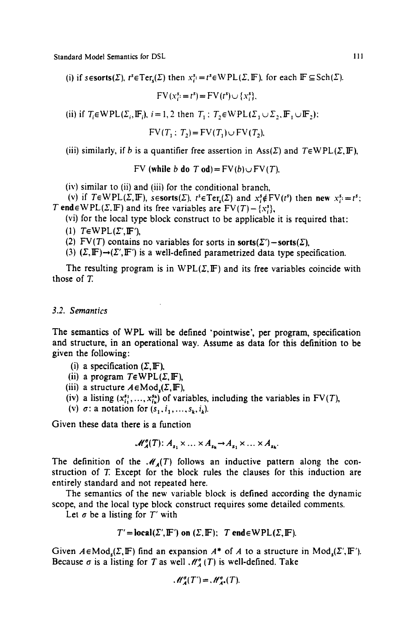(i) if sesorts( $\Sigma$ ),  $t^s \in \text{Ter}_s(\Sigma)$  then  $x_i^s = t^s \in \text{WPL}(\Sigma, \mathbb{F})$ , for each  $\mathbb{F} \subseteq \text{Sch}(\Sigma)$ .

 $FV(x_i^s = t^s) = FV(t^s) \cup \{x_i^s\}.$ 

(ii) if  $T_i \in \text{WPL}(\Sigma_i, \mathbb{F}_i)$ ,  $i = 1, 2$  then  $T_1 : T_2 \in \text{WPL}(\Sigma_1 \cup \Sigma_2, \mathbb{F}_1 \cup \mathbb{F}_2)$ ;

 $FV(T, : T_2) = FV(T_1) \cup FV(T_2)$ 

(iii) similarly, if b is a quantifier free assertion in Ass( $\Sigma$ ) and  $T \in WPL(\Sigma, \mathbb{F})$ ,

FV (while b do T od) =  $FV(b) \cup FV(T)$ .

 $(iv)$  similar to  $(ii)$  and  $(iii)$  for the conditional branch,

(v) if  $T \in \text{WPL}(\Sigma, \mathbb{F})$ ,  $s \in \text{sorts}(\Sigma)$ ,  $t^s \in \text{Ter}_s(\Sigma)$  and  $x^s \notin \text{FV}(t^s)$  then new  $x^s \in t^s$ ; T end  $\in$  WPL( $\Sigma$ , IF) and its free variables are FV(T)-{x<sup>3</sup>},

(vi) for the local type block construct to be applicable it is required that:

(1)  $T \in WPL(\Sigma', \mathbb{F}'),$ 

(2) FV(T) contains no variables for sorts in sorts( $\Sigma'$ ) - sorts( $\Sigma$ ),

(3)  $(\Sigma, \mathbb{F}) \rightarrow (\Sigma', \mathbb{F}')$  is a well-defined parametrized data type specification.

The resulting program is in  $WPL(\Sigma, \mathbb{F})$  and its free variables coincide with those of T.

#### *3.2. Semantics*

The semantics of WPL will be defined 'pointwise', per program, specification and structure, in an operational way. Assume as data for this definition to be given the following:

- (i) a specification  $(\Sigma, \mathbb{F})$ ,
- (ii) a program  $T \in WPL(\Sigma, \mathbb{F})$ ,
- (iii) a structure  $A \in Mod_{n}(\Sigma, \mathbb{F})$ ,
- (iv) a listing  $(x_1^{s_1},...,x_{i_k}^{s_k})$  of variables, including the variables in  $FV(T)$ ,
- (v)  $\sigma$ : a notation for  $(s_1, i_1, \ldots, s_k, i_k)$ .

Given these data there is a function

$$
\mathcal{M}_{\mathcal{A}}^{\sigma}(T)\colon A_{s_1}\times\ldots\times A_{s_k}\to A_{s_1}\times\ldots\times A_{s_k}.
$$

The definition of the  $\mathcal{M}_4(T)$  follows an inductive pattern along the construction of T. Except for the block rules the clauses for this induction are entirely standard and not repeated here.

The semantics of the new variable block is defined according the dynamic scope, and the local type block construct requires some detailed comments.

Let  $\sigma$  be a listing for  $T'$  with

$$
T' = \text{local}(\Sigma', \mathbb{F}')
$$
 on  $(\Sigma, \mathbb{F})$ ;  $T \text{ end} \in \text{WPL}(\Sigma, \mathbb{F})$ .

Given  $A \in Mod_{\mathfrak{c}}(\Sigma, \mathbb{F})$  find an expansion  $A^*$  of A to a structure in Mod $_{\mathfrak{c}}(\Sigma', \mathbb{F}').$ Because  $\sigma$  is a listing for T as well  $\mathcal{M}_{A}^{\sigma}(T)$  is well-defined. Take

$$
\mathscr{M}_{A}^{\sigma}(T')=\mathscr{M}_{A^{\bullet}}^{\sigma}(T).
$$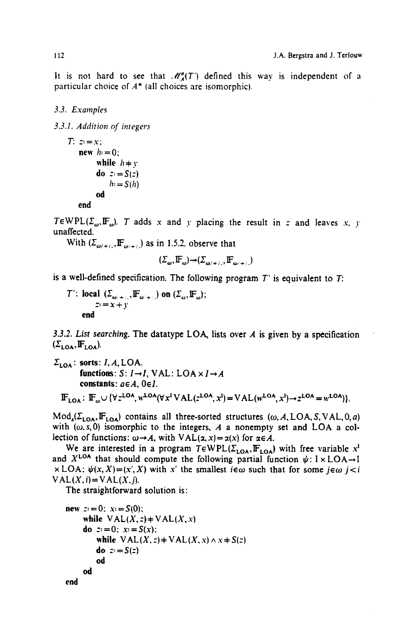It is not hard to see that  $\mathcal{M}_{\mathcal{A}}^{\sigma}(T')$  defined this way is independent of a particular choice of  $A^*$  (all choices are isomorphic).

## *3.3. Examples*

*3.3.I. Addition of integers* 

```
T: z:=x;new h = 0:
       while h + ydo z: = S(z)h: S(h)od 
  end
```
TEWPL( $\Sigma_{\omega}$ , IF<sub> $\omega$ </sub>). T adds x and y placing the result in z and leaves x, y unaffected.

With  $(\Sigma_{\omega/+},\mathbf{F}_{\omega/+})$  as in 1.5.2. observe that

$$
(\Sigma_{\omega}, \mathbb{F}_{\omega}) \rightarrow (\Sigma_{\omega/+, \cdot}, \mathbb{F}_{\omega/+, \cdot})
$$

is a well-defined specification. The following program *T'* is equivalent to T:

T: local  $(\mathcal{L}_{m+1}, \mathbb{F}_{m+1})$  on  $(\mathcal{L}_{m}, \mathbb{F}_{m})$ ;  $x = x + y$ end

*3.3.2. List searching.* The datatype LOA, lists over A is given by a specification  $(\Sigma_{\text{LOA}}, \mathbf{F}_{\text{LOA}}).$ 

```
\Sigma_{\text{LOA}}: sorts: I, A, LOA.
             functions: S: I \rightarrow I, VAL: LOA \times I \rightarrow Aconstants: a \in A, 0 \in I.
   \mathbb{F}_{\text{LOA}}: \mathbb{F}_\omega \cup \{\forall z^{LOA}, w^{LOA}(\forall x^i \text{VAL}(z^{LOA}, x^l) = \text{VAL}(w^{LOA}, x^l) \rightarrow z^{LOA} = w^{LOA})\}.
```
 $Mod_s(\Sigma_{\text{LOA}},\mathbb{F}_{\text{LOA}})$  contains all three-sorted structures (w, A, LOA, S, VAL, 0, a) with  $(\omega, s, 0)$  isomorphic to the integers, A a nonempty set and LOA a collection of functions:  $\omega \rightarrow A$ , with VAL(x, x) = x(x) for  $\alpha \in A$ .

We are interested in a program  $T \in WPL(\Sigma_{LOA},\mathbb{F}_{LOA})$  with free variable x<sup>1</sup> and  $X^{LOA}$  that should compute the following partial function  $\psi: I \times LOA \rightarrow I$  $\times$  LOA:  $\psi(x, X) = (x', X)$  with x' the smallest  $i \in \omega$  such that for some  $j \in \omega$   $j < i$  $VAL(X, i) = VAL(X, j).$ 

The straightforward solution is:

```
new z=0: x_i = S(0);
    while VAL(X, z) + VAL(X, x)do ::=0: x: =S(x):
        while VAL(X, z) = VAL(X, x) \wedge x = S(z)do z: = S(z)od 
    od 
end
```

$$
112 \\
$$